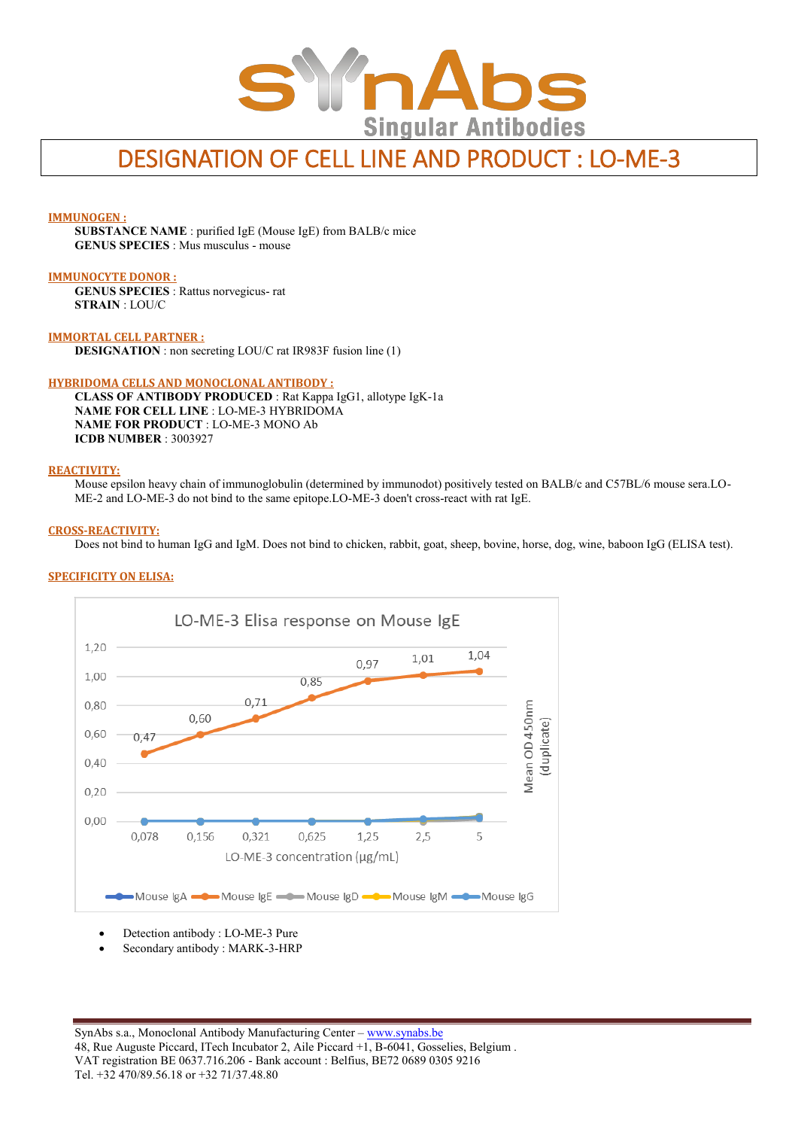

# DESIGNATION OF CELL LINE AND PRODUCT : LO-ME-3

## **IMMUNOGEN :**

**SUBSTANCE NAME** : purified IgE (Mouse IgE) from BALB/c mice **GENUS SPECIES** : Mus musculus - mouse

#### **IMMUNOCYTE DONOR :**

**GENUS SPECIES** : Rattus norvegicus- rat **STRAIN** : LOU/C

**IMMORTAL CELL PARTNER : DESIGNATION** : non secreting LOU/C rat IR983F fusion line (1)

### **HYBRIDOMA CELLS AND MONOCLONAL ANTIBODY :**

**CLASS OF ANTIBODY PRODUCED** : Rat Kappa IgG1, allotype IgK-1a **NAME FOR CELL LINE** : LO-ME-3 HYBRIDOMA **NAME FOR PRODUCT** : LO-ME-3 MONO Ab **ICDB NUMBER** : 3003927

### **REACTIVITY:**

Mouse epsilon heavy chain of immunoglobulin (determined by immunodot) positively tested on BALB/c and C57BL/6 mouse sera.LO-ME-2 and LO-ME-3 do not bind to the same epitope.LO-ME-3 doen't cross-react with rat IgE.

### **CROSS-REACTIVITY:**

Does not bind to human IgG and IgM. Does not bind to chicken, rabbit, goat, sheep, bovine, horse, dog, wine, baboon IgG (ELISA test).



# **SPECIFICITY ON ELISA:**

- Detection antibody : LO-ME-3 Pure
- Secondary antibody : MARK-3-HRP